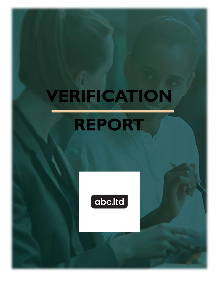## **VERIFICATION REPORT**

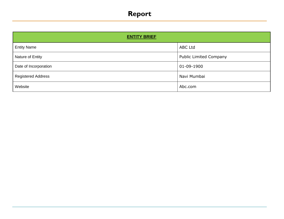## **Report**

| <b>ENTITY BRIEF</b>       |                               |
|---------------------------|-------------------------------|
| <b>Entity Name</b>        | <b>ABC Ltd</b>                |
| Nature of Entity          | <b>Public Limited Company</b> |
| Date of Incorporation     | 01-09-1900                    |
| <b>Registered Address</b> | Navi Mumbai                   |
| Website                   | Abc.com                       |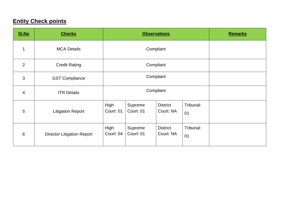## **Entity Check points**

| <b>SI.No</b>   | <b>Checks</b>                     | <b>Observations</b>                                                                          |                      | <b>Remarks</b>               |                 |  |
|----------------|-----------------------------------|----------------------------------------------------------------------------------------------|----------------------|------------------------------|-----------------|--|
| 1              | <b>MCA Details</b>                | Compliant                                                                                    |                      |                              |                 |  |
| $\overline{2}$ | <b>Credit Rating</b>              |                                                                                              | Compliant            |                              |                 |  |
| 3              | <b>GST Compliance</b>             | Compliant                                                                                    |                      |                              |                 |  |
| $\overline{4}$ | <b>ITR Details</b>                | Compliant                                                                                    |                      |                              |                 |  |
| 5              | <b>Litigation Report</b>          | High<br>Tribunal:<br>Supreme<br><b>District</b><br>Court: 01<br>Court: 01<br>Court: NA<br>01 |                      |                              |                 |  |
| $6\phantom{1}$ | <b>Director Litigation Report</b> | High<br>Court: 04                                                                            | Supreme<br>Court: 01 | <b>District</b><br>Court: NA | Tribunal:<br>01 |  |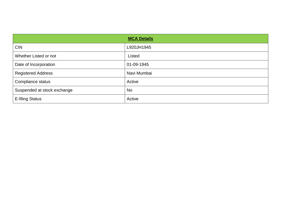|                             | <b>MCA Details</b> |
|-----------------------------|--------------------|
| <b>CIN</b>                  | L920JH1945         |
| Whether Listed or not       | Listed             |
| Date of Incorporation       | 01-09-1945         |
| <b>Registered Address</b>   | Navi Mumbai        |
| Compliance status           | Active             |
| Suspended at stock exchange | <b>No</b>          |
| <b>E-filing Status</b>      | Active             |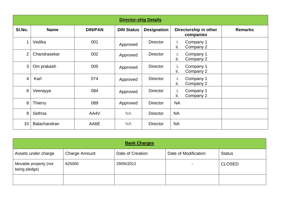|                | <b>Director-ship Details</b> |                |                   |                    |                                     |                |  |  |
|----------------|------------------------------|----------------|-------------------|--------------------|-------------------------------------|----------------|--|--|
| SI.No.         | <b>Name</b>                  | <b>DIN/PAN</b> | <b>DIN Status</b> | <b>Designation</b> | Directorship in other<br>companies  | <b>Remarks</b> |  |  |
| 1              | Vedika                       | 001            | Approved          | <b>Director</b>    | Company 1<br>ı.<br>ii.<br>Company 2 |                |  |  |
| $\overline{2}$ | Chandrasekar                 | 002            | Approved          | <b>Director</b>    | Company 1<br>ı.<br>ii.<br>Company 2 |                |  |  |
| $\mathfrak{S}$ | Om prakash                   | 005            | Approved          | <b>Director</b>    | i.<br>Company 1<br>ii.<br>Company 2 |                |  |  |
| $\overline{4}$ | Karl                         | 074            | Approved          | <b>Director</b>    | i.<br>Company 1<br>ii.<br>Company 2 |                |  |  |
| 6              | Veerayya                     | 084            | Approved          | <b>Director</b>    | i.<br>Company 1<br>ii.<br>Company 2 |                |  |  |
| 8              | <b>Thierry</b>               | 089            | Approved          | <b>Director</b>    | <b>NA</b>                           |                |  |  |
| 9              | Sethna                       | AA4V           | <b>NA</b>         | <b>Director</b>    | <b>NA</b>                           |                |  |  |
| 10             | Balachandran                 | AA6E           | <b>NA</b>         | <b>Director</b>    | <b>NA</b>                           |                |  |  |

| <b>Bank Charges</b>                    |                      |                  |                      |               |  |
|----------------------------------------|----------------------|------------------|----------------------|---------------|--|
| Assets under charge                    | <b>Charge Amount</b> | Date of Creation | Date of Modification | <b>Status</b> |  |
| Movable property (not<br>being pledge) | 625000               | 29/05/2012       | $\blacksquare$       | <b>CLOSED</b> |  |
|                                        |                      |                  |                      |               |  |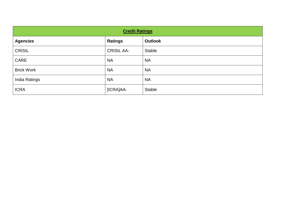| <b>Credit Ratings</b> |                   |                |  |  |
|-----------------------|-------------------|----------------|--|--|
| <b>Agencies</b>       | <b>Ratings</b>    | <b>Outlook</b> |  |  |
| <b>CRISIL</b>         | <b>CRISIL AA-</b> | <b>Stable</b>  |  |  |
| CARE                  | <b>NA</b>         | <b>NA</b>      |  |  |
| <b>Brick Work</b>     | <b>NA</b>         | <b>NA</b>      |  |  |
| India Ratings         | <b>NA</b>         | <b>NA</b>      |  |  |
| <b>ICRA</b>           | [ICRA]AA-         | <b>Stable</b>  |  |  |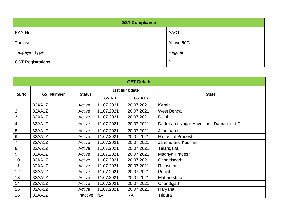| <b>GST Compliance</b>    |             |  |  |  |
|--------------------------|-------------|--|--|--|
| PAN No                   | <b>AACT</b> |  |  |  |
| Turnover                 | Above 50Cr. |  |  |  |
| <b>Taxpayer Type</b>     | Regular     |  |  |  |
| <b>GST Registrations</b> | 21          |  |  |  |

| <b>GST Details</b> |                            |               |              |                  |                                          |  |
|--------------------|----------------------------|---------------|--------------|------------------|------------------------------------------|--|
|                    |                            |               |              | Last filing date |                                          |  |
|                    | SI.No<br><b>GST Number</b> | <b>Status</b> | <b>GSTR1</b> | <b>GSTR3B</b>    | <b>State</b>                             |  |
|                    | 32AA1Z                     | Active        | 11.07.2021   | 20.07.2021       | Kerala                                   |  |
| $\mathbf{2}$       | 32AA1Z                     | Active        | 11.07.2021   | 20.07.2021       | West Bengal                              |  |
| 3                  | 32AA1Z                     | Active        | 11.07.2021   | 20.07.2021       | Delhi                                    |  |
| 4                  | 32AA1Z                     | Active        | 11.07.2021   | 20.07.2021       | Dadra and Nagar Haveli and Daman and Diu |  |
| 5                  | 32AA1Z                     | Active        | 11.07.2021   | 20.07.2021       | Jharkhand                                |  |
| 6                  | 32AA1Z                     | Active        | 11.07.2021   | 20.07.2021       | <b>Himachal Pradesh</b>                  |  |
| $\overline{7}$     | 32AA1Z                     | Active        | 11.07.2021   | 20.07.2021       | Jammu and Kashmir                        |  |
| 8                  | 32AA1Z                     | Active        | 11.07.2021   | 20.07.2021       | Telangana                                |  |
| 9                  | 32AA1Z                     | Active        | 11.07.2021   | 20.07.2021       | Madhya Pradesh                           |  |
| 10                 | 32AA1Z                     | Active        | 11.07.2021   | 20.07.2021       | Chhattisgarh                             |  |
| 11                 | 32AA1Z                     | Active        | 11.07.2021   | 20.07.2021       | Rajasthan                                |  |
| 12                 | 32AA1Z                     | Active        | 11.07.2021   | 20.07.2021       | Punjab                                   |  |
| 13                 | 32AA1Z                     | Active        | 11.07.2021   | 20.07.2021       | Maharashtra                              |  |
| 14                 | 32AA1Z                     | Active        | 11.07.2021   | 20.07.2021       | Chandigarh                               |  |
| 15                 | 32AA1Z                     | Active        | 11.07.2021   | 20.07.2021       | Haryana                                  |  |
| 16                 | 32AA1Z                     | Inactive      | <b>NA</b>    | <b>NA</b>        | Tripura                                  |  |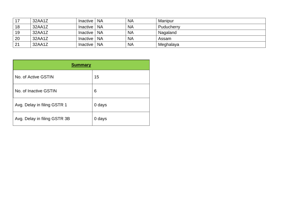| 17 | 32AA1Z | Inactive I | <b>NA</b> | <b>NA</b> | Manipur    |
|----|--------|------------|-----------|-----------|------------|
| 18 | 32AA1Z | Inactive   | <b>NA</b> | <b>NA</b> | Puducherry |
| 19 | 32AA1Z | Inactive I | <b>NA</b> | <b>NA</b> | Nagaland   |
| 20 | 32AA1Z | Inactive   | <b>NA</b> | <b>NA</b> | Assam      |
| 21 | 32AA1Z | Inactive   | <b>NA</b> | <b>NA</b> | Meghalaya  |

| <b>Summary</b>               |        |  |  |  |
|------------------------------|--------|--|--|--|
| No. of Active GSTIN          | 15     |  |  |  |
| No. of Inactive GSTIN        | 6      |  |  |  |
| Avg. Delay in filing GSTR 1  | 0 days |  |  |  |
| Avg. Delay in filing GSTR 3B | 0 days |  |  |  |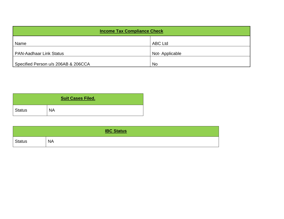| <b>Income Tax Compliance Check</b>  |                |  |  |
|-------------------------------------|----------------|--|--|
| Name                                | <b>ABC Ltd</b> |  |  |
| <b>PAN-Aadhaar Link Status</b>      | Not-Applicable |  |  |
| Specified Person u/s 206AB & 206CCA | <b>No</b>      |  |  |

| <b>Suit Cases Filed.</b> |           |  |  |  |
|--------------------------|-----------|--|--|--|
| <b>Status</b>            | <b>NA</b> |  |  |  |

| <b>IBC Status</b> |           |  |  |
|-------------------|-----------|--|--|
| <b>Status</b>     | <b>NA</b> |  |  |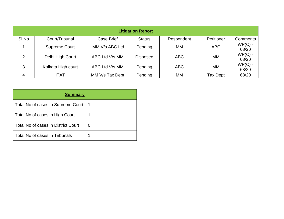| <b>Litigation Report</b> |                      |                 |                 |            |                 |                    |
|--------------------------|----------------------|-----------------|-----------------|------------|-----------------|--------------------|
| SI.No                    | Court/Tribunal       | Case Brief      | <b>Status</b>   | Respondent | Petitioner      | <b>Comments</b>    |
|                          | <b>Supreme Court</b> | MM V/s ABC Ltd  | Pending         | MM         | <b>ABC</b>      | $WP(C)$ -<br>68/20 |
| 2                        | Delhi High Court     | ABC Ltd V/s MM  | <b>Disposed</b> | <b>ABC</b> | MM              | $WP(C)$ -<br>68/20 |
| 3                        | Kolkata High court   | ABC Ltd V/s MM  | Pending         | <b>ABC</b> | MM              | $WP(C)$ -<br>68/20 |
| 4                        | <b>ITAT</b>          | MM V/s Tax Dept | Pending         | MM         | <b>Tax Dept</b> | 68/20              |

| <b>Summary</b>                      |   |  |  |  |
|-------------------------------------|---|--|--|--|
| Total No of cases in Supreme Court  |   |  |  |  |
| Total No of cases in High Court     |   |  |  |  |
| Total No of cases in District Court | 0 |  |  |  |
| Total No of cases in Tribunals      |   |  |  |  |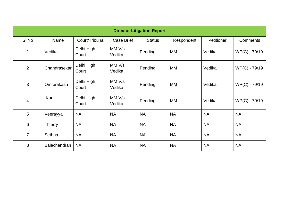| <b>Director Litigation Report</b> |                |                     |                  |               |            |                   |               |
|-----------------------------------|----------------|---------------------|------------------|---------------|------------|-------------------|---------------|
| SI.No                             | Name           | Court/Tribunal      | Case Brief       | <b>Status</b> | Respondent | <b>Petitioner</b> | Comments      |
| 1                                 | Vedika         | Delhi High<br>Court | MM V/s<br>Vedika | Pending       | MM         | Vedika            | WP(C) - 79/19 |
| 2                                 | Chandrasekar   | Delhi High<br>Court | MM V/s<br>Vedika | Pending       | MM         | Vedika            | WP(C) - 79/19 |
| 3                                 | Om prakash     | Delhi High<br>Court | MM V/s<br>Vedika | Pending       | МM         | Vedika            | WP(C) - 79/19 |
| 4                                 | Karl           | Delhi High<br>Court | MM V/s<br>Vedika | Pending       | МM         | Vedika            | WP(C) - 79/19 |
| 5                                 | Veerayya       | <b>NA</b>           | <b>NA</b>        | <b>NA</b>     | <b>NA</b>  | <b>NA</b>         | <b>NA</b>     |
| $6\phantom{1}6$                   | <b>Thierry</b> | <b>NA</b>           | <b>NA</b>        | <b>NA</b>     | <b>NA</b>  | <b>NA</b>         | <b>NA</b>     |
| $\overline{7}$                    | Sethna         | <b>NA</b>           | <b>NA</b>        | <b>NA</b>     | <b>NA</b>  | <b>NA</b>         | <b>NA</b>     |
| 8                                 | Balachandran   | <b>NA</b>           | <b>NA</b>        | <b>NA</b>     | <b>NA</b>  | <b>NA</b>         | <b>NA</b>     |